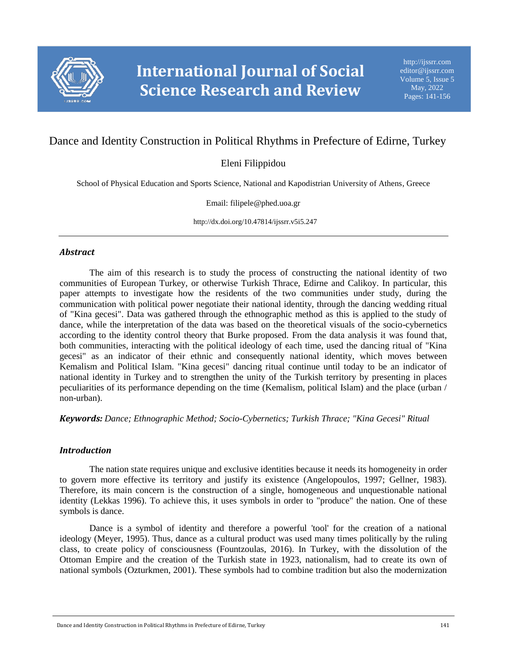

# Dance and Identity Construction in Political Rhythms in Prefecture of Edirne, Turkey

## Eleni Filippidou

School of Physical Education and Sports Science, National and Kapodistrian University of Athens, Greece

Email: filipele@phed.uoa.gr

http://dx.doi.org/10.47814/ijssrr.v5i5.247

#### *Abstract*

The aim of this research is to study the process of constructing the national identity of two communities of European Turkey, or otherwise Turkish Thrace, Edirne and Calikoy. In particular, this paper attempts to investigate how the residents of the two communities under study, during the communication with political power negotiate their national identity, through the dancing wedding ritual of "Kina gecesi". Data was gathered through the ethnographic method as this is applied to the study of dance, while the interpretation of the data was based on the theoretical visuals of the socio-cybernetics according to the identity control theory that Burke proposed. From the data analysis it was found that, both communities, interacting with the political ideology of each time, used the dancing ritual of "Kina gecesi" as an indicator of their ethnic and consequently national identity, which moves between Kemalism and Political Islam. "Kina gecesi" dancing ritual continue until today to be an indicator of national identity in Turkey and to strengthen the unity of the Turkish territory by presenting in places peculiarities of its performance depending on the time (Kemalism, political Islam) and the place (urban / non-urban).

*Keywords: Dance; Ethnographic Method; Socio-Cybernetics; Turkish Thrace; "Kina Gecesi" Ritual*

### *Introduction*

The nation state requires unique and exclusive identities because it needs its homogeneity in order to govern more effective its territory and justify its existence (Angelopoulos, 1997; Gellner, 1983). Therefore, its main concern is the construction of a single, homogeneous and unquestionable national identity (Lekkas 1996). To achieve this, it uses symbols in order to "produce" the nation. One of these symbols is dance.

Dance is a symbol of identity and therefore a powerful 'tool' for the creation of a national ideology (Meyer, 1995). Thus, dance as a cultural product was used many times politically by the ruling class, to create policy of consciousness (Fountzoulas, 2016). In Turkey, with the dissolution of the Ottoman Empire and the creation of the Turkish state in 1923, nationalism, had to create its own of national symbols (Ozturkmen, 2001). These symbols had to combine tradition but also the modernization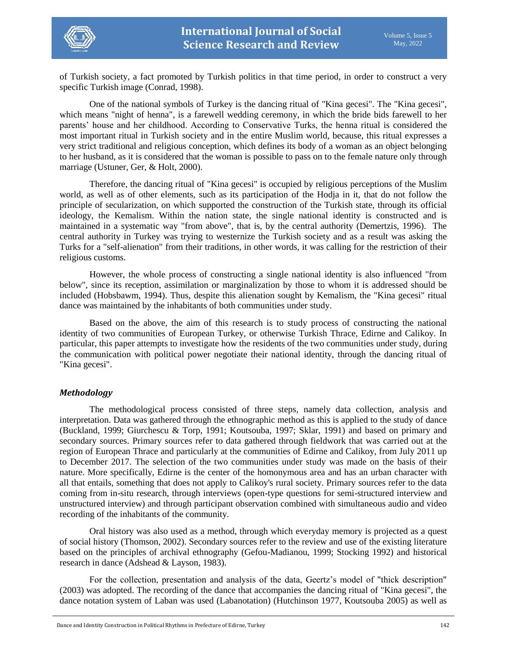

of Turkish society, a fact promoted by Turkish politics in that time period, in order to construct a very specific Turkish image (Conrad, 1998).

One of the national symbols of Turkey is the dancing ritual of "Kina gecesi". The "Kina gecesi", which means "night of henna", is a farewell wedding ceremony, in which the bride bids farewell to her parents' house and her childhood. According to Conservative Turks, the henna ritual is considered the most important ritual in Turkish society and in the entire Muslim world, because, this ritual expresses a very strict traditional and religious conception, which defines its body of a woman as an object belonging to her husband, as it is considered that the woman is possible to pass on to the female nature only through marriage (Ustuner, Ger, & Holt, 2000).

Therefore, the dancing ritual of "Kina gecesi" is occupied by religious perceptions of the Muslim world, as well as of other elements, such as its participation of the Hodja in it, that do not follow the principle of secularization, on which supported the construction of the Turkish state, through its official ideology, the Kemalism. Within the nation state, the single national identity is constructed and is maintained in a systematic way "from above", that is, by the central authority (Demertzis, 1996). The central authority in Turkey was trying to westernize the Turkish society and as a result was asking the Turks for a "self-alienation" from their traditions, in other words, it was calling for the restriction of their religious customs.

However, the whole process of constructing a single national identity is also influenced "from below", since its reception, assimilation or marginalization by those to whom it is addressed should be included (Hobsbawm, 1994). Thus, despite this alienation sought by Kemalism, the "Kina gecesi" ritual dance was maintained by the inhabitants of both communities under study.

Based on the above, the aim of this research is to study process of constructing the national identity of two communities of European Turkey, or otherwise Turkish Thrace, Edirne and Calikoy. In particular, this paper attempts to investigate how the residents of the two communities under study, during the communication with political power negotiate their national identity, through the dancing ritual of "Kina gecesi".

### *Methodology*

The methodological process consisted of three steps, namely data collection, analysis and interpretation. Data was gathered through the ethnographic method as this is applied to the study of dance (Buckland, 1999; Giurchescu & Torp, 1991; Koutsouba, 1997; Sklar, 1991) and based on primary and secondary sources. Primary sources refer to data gathered through fieldwork that was carried out at the region of European Thrace and particularly at the communities of Edirne and Calikoy, from July 2011 up to December 2017. The selection of the two communities under study was made on the basis of their nature. More specifically, Edirne is the center of the homonymous area and has an urban character with all that entails, something that does not apply to Calikoy's rural society. Primary sources refer to the data coming from in-situ research, through interviews (open-type questions for semi-structured interview and unstructured interview) and through participant observation combined with simultaneous audio and video recording of the inhabitants of the community.

Oral history was also used as a method, through which everyday memory is projected as a quest of social history (Thomson, 2002). Secondary sources refer to the review and use of the existing literature based on the principles of archival ethnography (Gefou-Madianou, 1999; Stocking 1992) and historical research in dance (Adshead & Layson, 1983).

For the collection, presentation and analysis of the data, Geertz's model of "thick description" (2003) was adopted. The recording of the dance that accompanies the dancing ritual of "Kina gecesi", the dance notation system of Laban was used (Labanotation) (Hutchinson 1977, Koutsouba 2005) as well as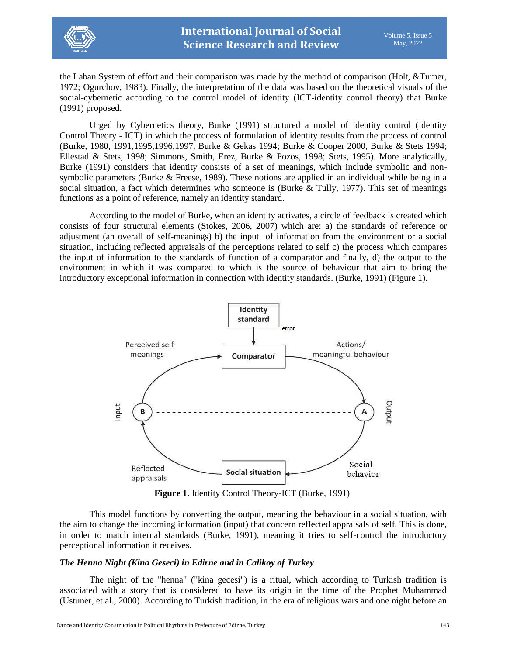

the Laban System of effort and their comparison was made by the method of comparison (Holt, &Turner, 1972; Ogurchov, 1983). Finally, the interpretation of the data was based on the theoretical visuals of the social-cybernetic according to the control model of identity (ICT-identity control theory) that Burke (1991) proposed.

Urged by Cybernetics theory, Burke (1991) structured a model of identity control (Identity Control Theory - ICT) in which the process of formulation of identity results from the process of control (Burke, 1980, 1991,1995,1996,1997, Burke & Gekas 1994; Burke & Cooper 2000, Burke & Stets 1994; Ellestad & Stets, 1998; Simmons, Smith, Erez, Burke & Pozos, 1998; Stets, 1995). More analytically, Burke (1991) considers that identity consists of a set of meanings, which include symbolic and nonsymbolic parameters (Burke & Freese, 1989). These notions are applied in an individual while being in a social situation, a fact which determines who someone is (Burke & Tully, 1977). This set of meanings functions as a point of reference, namely an identity standard.

According to the model of Burke, when an identity activates, a circle of feedback is created which consists of four structural elements (Stokes, 2006, 2007) which are: a) the standards of reference or adjustment (an overall of self-meanings) b) the input of information from the environment or a social situation, including reflected appraisals of the perceptions related to self c) the process which compares the input of information to the standards of function of a comparator and finally, d) the output to the environment in which it was compared to which is the source of behaviour that aim to bring the introductory exceptional information in connection with identity standards. (Burke, 1991) (Figure 1).



**Figure 1.** Identity Control Theory-ICT (Burke, 1991)

This model functions by converting the output, meaning the behaviour in a social situation, with the aim to change the incoming information (input) that concern reflected appraisals of self. This is done, in order to match internal standards (Burke, 1991), meaning it tries to self-control the introductory perceptional information it receives.

### *The Henna Night (Kina Geseci) in Edirne and in Calikoy of Turkey*

The night of the "henna" ("kina gecesi") is a ritual, which according to Turkish tradition is associated with a story that is considered to have its origin in the time of the Prophet Muhammad (Ustuner, et al., 2000). According to Turkish tradition, in the era of religious wars and one night before an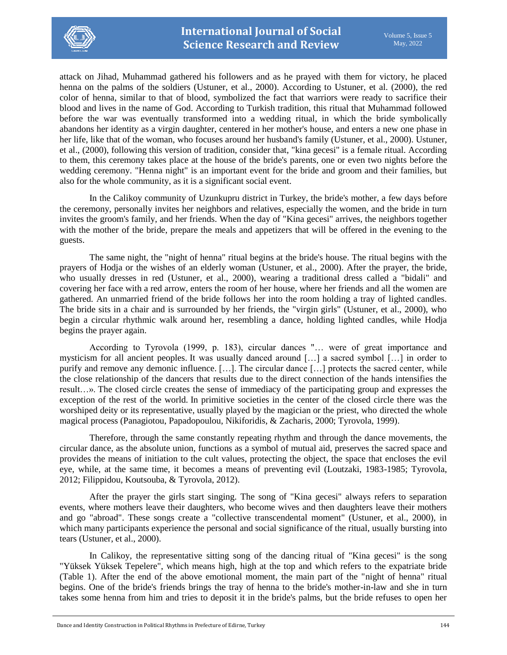

attack on Jihad, Muhammad gathered his followers and as he prayed with them for victory, he placed henna on the palms of the soldiers (Ustuner, et al., 2000). According to Ustuner, et al. (2000), the red color of henna, similar to that of blood, symbolized the fact that warriors were ready to sacrifice their blood and lives in the name of God. According to Turkish tradition, this ritual that Muhammad followed before the war was eventually transformed into a wedding ritual, in which the bride symbolically abandons her identity as a virgin daughter, centered in her mother's house, and enters a new one phase in her life, like that of the woman, who focuses around her husband's family (Ustuner, et al., 2000). Ustuner, et al., (2000), following this version of tradition, consider that, "kina gecesi" is a female ritual. According to them, this ceremony takes place at the house of the bride's parents, one or even two nights before the wedding ceremony. "Henna night" is an important event for the bride and groom and their families, but also for the whole community, as it is a significant social event.

In the Calikoy community of Uzunkupru district in Turkey, the bride's mother, a few days before the ceremony, personally invites her neighbors and relatives, especially the women, and the bride in turn invites the groom's family, and her friends. When the day of "Kina gecesi" arrives, the neighbors together with the mother of the bride, prepare the meals and appetizers that will be offered in the evening to the guests.

The same night, the "night of henna" ritual begins at the bride's house. The ritual begins with the prayers of Hodja or the wishes of an elderly woman (Ustuner, et al., 2000). After the prayer, the bride, who usually dresses in red (Ustuner, et al., 2000), wearing a traditional dress called a "bidali" and covering her face with a red arrow, enters the room of her house, where her friends and all the women are gathered. An unmarried friend of the bride follows her into the room holding a tray of lighted candles. The bride sits in a chair and is surrounded by her friends, the "virgin girls" (Ustuner, et al., 2000), who begin a circular rhythmic walk around her, resembling a dance, holding lighted candles, while Hodja begins the prayer again.

According to Tyrovola (1999, p. 183), circular dances "… were of great importance and mysticism for all ancient peoples. It was usually danced around […] a sacred symbol […] in order to purify and remove any demonic influence. […]. The circular dance […] protects the sacred center, while the close relationship of the dancers that results due to the direct connection of the hands intensifies the result…». The closed circle creates the sense of immediacy of the participating group and expresses the exception of the rest of the world. In primitive societies in the center of the closed circle there was the worshiped deity or its representative, usually played by the magician or the priest, who directed the whole magical process (Panagiotou, Papadopoulou, Nikiforidis, & Zacharis, 2000; Tyrovola, 1999).

Therefore, through the same constantly repeating rhythm and through the dance movements, the circular dance, as the absolute union, functions as a symbol of mutual aid, preserves the sacred space and provides the means of initiation to the cult values, protecting the object, the space that encloses the evil eye, while, at the same time, it becomes a means of preventing evil (Loutzaki, 1983-1985; Tyrovola, 2012; Filippidou, Koutsouba, & Tyrovola, 2012).

After the prayer the girls start singing. The song of "Kina gecesi" always refers to separation events, where mothers leave their daughters, who become wives and then daughters leave their mothers and go "abroad". These songs create a "collective transcendental moment" (Ustuner, et al., 2000), in which many participants experience the personal and social significance of the ritual, usually bursting into tears (Ustuner, et al., 2000).

In Calikoy, the representative sitting song of the dancing ritual of "Kina gecesi" is the song "Yüksek Yüksek Tepelere", which means high, high at the top and which refers to the expatriate bride (Table 1). After the end of the above emotional moment, the main part of the "night of henna" ritual begins. One of the bride's friends brings the tray of henna to the bride's mother-in-law and she in turn takes some henna from him and tries to deposit it in the bride's palms, but the bride refuses to open her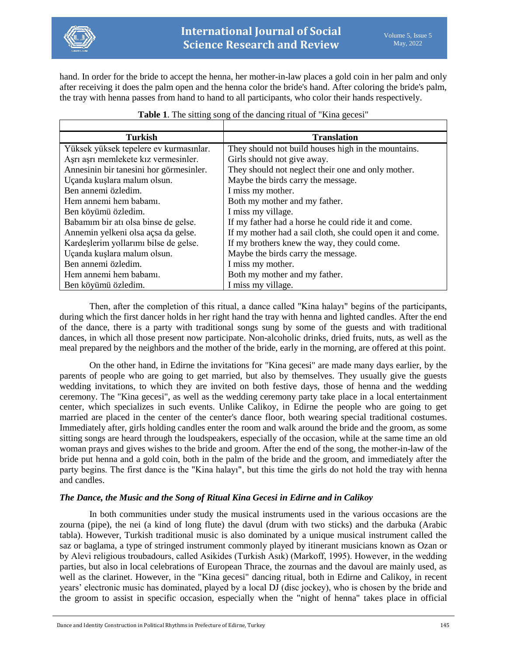

hand. In order for the bride to accept the henna, her mother-in-law places a gold coin in her palm and only after receiving it does the palm open and the henna color the bride's hand. After coloring the bride's palm, the tray with henna passes from hand to hand to all participants, who color their hands respectively.

| <b>Turkish</b>                          | <b>Translation</b>                                         |
|-----------------------------------------|------------------------------------------------------------|
| Yüksek yüksek tepelere ev kurmasınlar.  | They should not build houses high in the mountains.        |
| Aşrı aşrı memlekete kız vermesinler.    | Girls should not give away.                                |
| Annesinin bir tanesini hor görmesinler. | They should not neglect their one and only mother.         |
| Uçanda kuşlara malum olsun.             | Maybe the birds carry the message.                         |
| Ben annemi özledim.                     | I miss my mother.                                          |
| Hem annemi hem babamı.                  | Both my mother and my father.                              |
| Ben köyümü özledim.                     | I miss my village.                                         |
| Babamim bir ati olsa binse de gelse.    | If my father had a horse he could ride it and come.        |
| Annemin yelkeni olsa açsa da gelse.     | If my mother had a sail cloth, she could open it and come. |
| Kardeşlerim yollarımı bilse de gelse.   | If my brothers knew the way, they could come.              |
| Uçanda kuşlara malum olsun.             | Maybe the birds carry the message.                         |
| Ben annemi özledim.                     | I miss my mother.                                          |
| Hem annemi hem babamı.                  | Both my mother and my father.                              |
| Ben köyümü özledim.                     | I miss my village.                                         |

### **Table 1**. The sitting song of the dancing ritual of "Kina gecesi"

Then, after the completion of this ritual, a dance called "Kina halayı" begins of the participants, during which the first dancer holds in her right hand the tray with henna and lighted candles. After the end of the dance, there is a party with traditional songs sung by some of the guests and with traditional dances, in which all those present now participate. Non-alcoholic drinks, dried fruits, nuts, as well as the meal prepared by the neighbors and the mother of the bride, early in the morning, are offered at this point.

On the other hand, in Edirne the invitations for "Kina gecesi" are made many days earlier, by the parents of people who are going to get married, but also by themselves. They usually give the guests wedding invitations, to which they are invited on both festive days, those of henna and the wedding ceremony. The "Kina gecesi", as well as the wedding ceremony party take place in a local entertainment center, which specializes in such events. Unlike Calikoy, in Edirne the people who are going to get married are placed in the center of the center's dance floor, both wearing special traditional costumes. Immediately after, girls holding candles enter the room and walk around the bride and the groom, as some sitting songs are heard through the loudspeakers, especially of the occasion, while at the same time an old woman prays and gives wishes to the bride and groom. After the end of the song, the mother-in-law of the bride put henna and a gold coin, both in the palm of the bride and the groom, and immediately after the party begins. The first dance is the "Kina halayı", but this time the girls do not hold the tray with henna and candles.

### *The Dance, the Music and the Song of Ritual Kina Gecesi in Edirne and in Calikoy*

In both communities under study the musical instruments used in the various occasions are the zourna (pipe), the nei (a kind of long flute) the davul (drum with two sticks) and the darbuka (Arabic tabla). However, Turkish traditional music is also dominated by a unique musical instrument called the saz or baglama, a type of stringed instrument commonly played by itinerant musicians known as Ozan or by Alevi religious troubadours, called Asikides (Turkish Asık) (Markoff, 1995). However, in the wedding parties, but also in local celebrations of European Thrace, the zournas and the davoul are mainly used, as well as the clarinet. However, in the "Kina gecesi" dancing ritual, both in Edirne and Calikoy, in recent years' electronic music has dominated, played by a local DJ (disc jockey), who is chosen by the bride and the groom to assist in specific occasion, especially when the "night of henna" takes place in official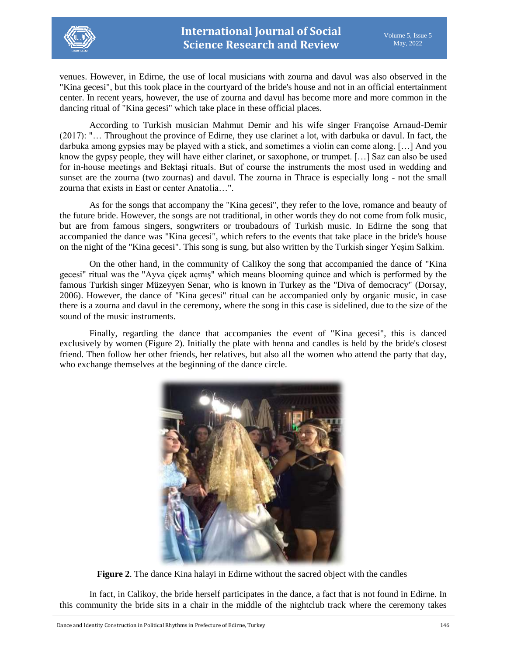

venues. However, in Edirne, the use of local musicians with zourna and davul was also observed in the "Kina gecesi", but this took place in the courtyard of the bride's house and not in an official entertainment center. In recent years, however, the use of zourna and davul has become more and more common in the dancing ritual of "Kina gecesi" which take place in these official places.

According to Turkish musician Mahmut Demir and his wife singer Françoise Arnaud-Demir (2017): "… Throughout the province of Edirne, they use clarinet a lot, with darbuka or davul. In fact, the darbuka among gypsies may be played with a stick, and sometimes a violin can come along. […] And you know the gypsy people, they will have either clarinet, or saxophone, or trumpet. […] Saz can also be used for in-house meetings and Βektaşi rituals. But of course the instruments the most used in wedding and sunset are the zourna (two zournas) and davul. The zourna in Thrace is especially long - not the small zourna that exists in East or center Anatolia…".

As for the songs that accompany the "Kina gecesi", they refer to the love, romance and beauty of the future bride. However, the songs are not traditional, in other words they do not come from folk music, but are from famous singers, songwriters or troubadours of Turkish music. In Edirne the song that accompanied the dance was "Kina gecesi", which refers to the events that take place in the bride's house on the night of the "Kina gecesi". This song is sung, but also written by the Turkish singer Yeşim Salkim.

On the other hand, in the community of Calikoy the song that accompanied the dance of "Kina gecesi" ritual was the "Ayva çiçek açmış" which means blooming quince and which is performed by the famous Turkish singer Müzeyyen Senar, who is known in Turkey as the "Diva of democracy" (Dorsay, 2006). However, the dance of "Kina gecesi" ritual can be accompanied only by organic music, in case there is a zourna and davul in the ceremony, where the song in this case is sidelined, due to the size of the sound of the music instruments.

Finally, regarding the dance that accompanies the event of "Kina gecesi", this is danced exclusively by women (Figure 2). Initially the plate with henna and candles is held by the bride's closest friend. Then follow her other friends, her relatives, but also all the women who attend the party that day, who exchange themselves at the beginning of the dance circle.



**Figure 2**. The dance Kina halayi in Edirne without the sacred object with the candles

In fact, in Calikoy, the bride herself participates in the dance, a fact that is not found in Edirne. In this community the bride sits in a chair in the middle of the nightclub track where the ceremony takes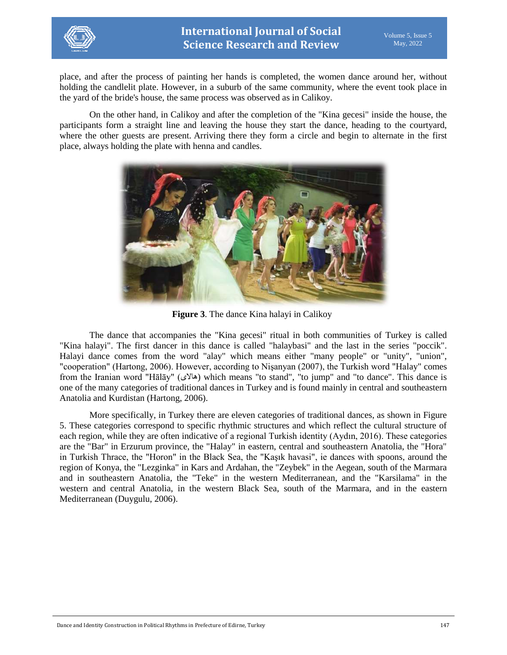

place, and after the process of painting her hands is completed, the women dance around her, without holding the candlelit plate. However, in a suburb of the same community, where the event took place in the yard of the bride's house, the same process was observed as in Calikoy.

On the other hand, in Calikoy and after the completion of the "Kina gecesi" inside the house, the participants form a straight line and leaving the house they start the dance, heading to the courtyard, where the other guests are present. Arriving there they form a circle and begin to alternate in the first place, always holding the plate with henna and candles.



**Figure 3**. The dance Kina halayi in Calikoy

The dance that accompanies the "Kina gecesi" ritual in both communities of Turkey is called "Kina halayi". The first dancer in this dance is called "halaybasi" and the last in the series "poccik". Halayi dance comes from the word "alay" which means either "many people" or "unity", "union", "cooperation" (Hartong, 2006). However, according to Nişanyan (2007), the Turkish word "Halay" comes from the Iranian word "Hālāy" (هالای) which means "to stand", "to jump" and "to dance". This dance is one of the many categories of traditional dances in Turkey and is found mainly in central and southeastern Anatolia and Kurdistan (Hartong, 2006).

More specifically, in Turkey there are eleven categories of traditional dances, as shown in Figure 5. These categories correspond to specific rhythmic structures and which reflect the cultural structure of each region, while they are often indicative of a regional Turkish identity (Aydın, 2016). These categories are the "Bar" in Erzurum province, the "Halay" in eastern, central and southeastern Anatolia, the "Hora" in Turkish Thrace, the "Horon" in the Black Sea, the "Kaşık havasi", ie dances with spoons, around the region of Konya, the "Lezginka" in Kars and Ardahan, the "Zeybek" in the Aegean, south of the Marmara and in southeastern Anatolia, the "Teke" in the western Mediterranean, and the "Karsilama" in the western and central Anatolia, in the western Black Sea, south of the Marmara, and in the eastern Mediterranean (Duygulu, 2006).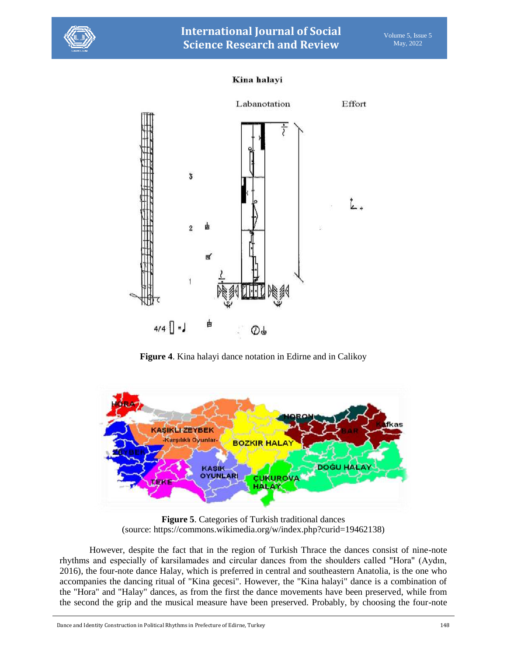

### Kina halayi



**Figure 4**. Kina halayi dance notation in Edirne and in Calikoy



**Figure 5**. Categories of Turkish traditional dances (source: https://commons.wikimedia.org/w/index.php?curid=19462138)

However, despite the fact that in the region of Turkish Thrace the dances consist of nine-note rhythms and especially of karsilamades and circular dances from the shoulders called "Hora" (Aydın, 2016), the four-note dance Halay, which is preferred in central and southeastern Anatolia, is the one who accompanies the dancing ritual of "Kina gecesi". However, the "Kina halayi" dance is a combination of the "Hora" and "Halay" dances, as from the first the dance movements have been preserved, while from the second the grip and the musical measure have been preserved. Probably, by choosing the four-note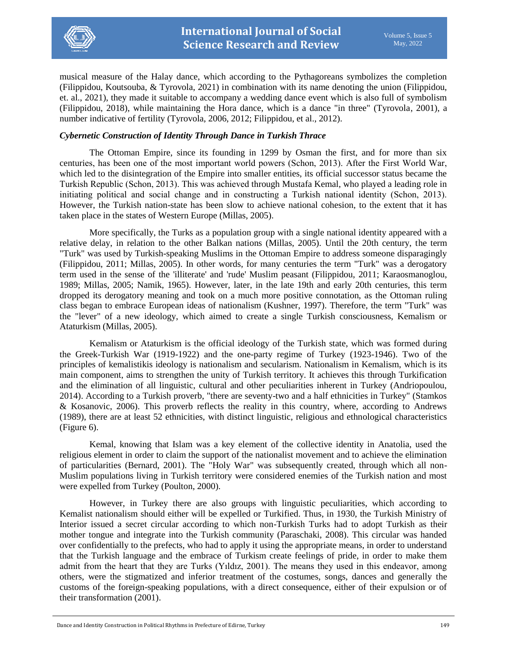

musical measure of the Halay dance, which according to the Pythagoreans symbolizes the completion (Filippidou, Koutsouba, & Tyrovola, 2021) in combination with its name denoting the union (Filippidou, et. al., 2021), they made it suitable to accompany a wedding dance event which is also full of symbolism (Filippidou, 2018), while maintaining the Hora dance, which is a dance "in three" (Tyrovola, 2001), a number indicative of fertility (Tyrovola, 2006, 2012; Filippidou, et al., 2012).

### *Cybernetic Construction of Identity Through Dance in Turkish Thrace*

The Ottoman Empire, since its founding in 1299 by Osman the first, and for more than six centuries, has been one of the most important world powers (Schοn, 2013). After the First World War, which led to the disintegration of the Empire into smaller entities, its official successor status became the Turkish Republic (Schοn, 2013). This was achieved through Mustafa Kemal, who played a leading role in initiating political and social change and in constructing a Turkish national identity (Schοn, 2013). However, the Turkish nation-state has been slow to achieve national cohesion, to the extent that it has taken place in the states of Western Europe (Millas, 2005).

More specifically, the Turks as a population group with a single national identity appeared with a relative delay, in relation to the other Balkan nations (Millas, 2005). Until the 20th century, the term "Turk" was used by Turkish-speaking Muslims in the Ottoman Empire to address someone disparagingly (Filippidou, 2011; Millas, 2005). In other words, for many centuries the term "Turk" was a derogatory term used in the sense of the 'illiterate' and 'rude' Muslim peasant (Filippidou, 2011; Karaosmanoglou, 1989; Millas, 2005; Namik, 1965). However, later, in the late 19th and early 20th centuries, this term dropped its derogatory meaning and took on a much more positive connotation, as the Ottoman ruling class began to embrace European ideas of nationalism (Kushner, 1997). Therefore, the term "Turk" was the "lever" of a new ideology, which aimed to create a single Turkish consciousness, Kemalism or Ataturkism (Millas, 2005).

Kemalism or Ataturkism is the official ideology of the Turkish state, which was formed during the Greek-Turkish War (1919-1922) and the one-party regime of Turkey (1923-1946). Two of the principles of kemalistikis ideology is nationalism and secularism. Nationalism in Kemalism, which is its main component, aims to strengthen the unity of Turkish territory. It achieves this through Turkification and the elimination of all linguistic, cultural and other peculiarities inherent in Turkey (Andriopoulou, 2014). According to a Turkish proverb, "there are seventy-two and a half ethnicities in Turkey" (Stamkos & Kosanovic, 2006). This proverb reflects the reality in this country, where, according to Andrews (1989), there are at least 52 ethnicities, with distinct linguistic, religious and ethnological characteristics (Figure 6).

Kemal, knowing that Islam was a key element of the collective identity in Anatolia, used the religious element in order to claim the support of the nationalist movement and to achieve the elimination of particularities (Bernard, 2001). The "Holy War" was subsequently created, through which all non-Muslim populations living in Turkish territory were considered enemies of the Turkish nation and most were expelled from Turkey (Poulton, 2000).

However, in Turkey there are also groups with linguistic peculiarities, which according to Kemalist nationalism should either will be expelled or Turkified. Thus, in 1930, the Turkish Ministry of Interior issued a secret circular according to which non-Turkish Turks had to adopt Turkish as their mother tongue and integrate into the Turkish community (Paraschaki, 2008). This circular was handed over confidentially to the prefects, who had to apply it using the appropriate means, in order to understand that the Turkish language and the embrace of Turkism create feelings of pride, in order to make them admit from the heart that they are Turks (Yıldız, 2001). The means they used in this endeavor, among others, were the stigmatized and inferior treatment of the costumes, songs, dances and generally the customs of the foreign-speaking populations, with a direct consequence, either of their expulsion or of their transformation (2001).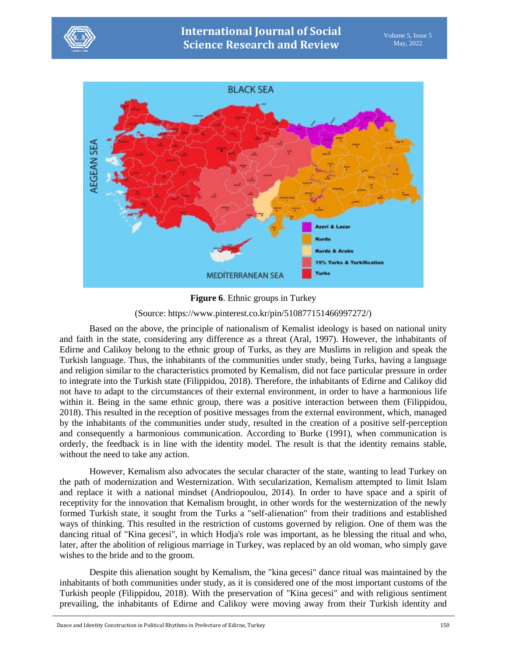



**Figure 6**. Ethnic groups in Turkey

(Source: https://www.pinterest.co.kr/pin/510877151466997272/)

Based on the above, the principle of nationalism of Kemalist ideology is based on national unity and faith in the state, considering any difference as a threat (Aral, 1997). However, the inhabitants of Edirne and Calikoy belong to the ethnic group of Turks, as they are Muslims in religion and speak the Turkish language. Thus, the inhabitants of the communities under study, being Turks, having a language and religion similar to the characteristics promoted by Kemalism, did not face particular pressure in order to integrate into the Turkish state (Filippidou, 2018). Therefore, the inhabitants of Edirne and Calikoy did not have to adapt to the circumstances of their external environment, in order to have a harmonious life within it. Being in the same ethnic group, there was a positive interaction between them (Filippidou, 2018). This resulted in the reception of positive messages from the external environment, which, managed by the inhabitants of the communities under study, resulted in the creation of a positive self-perception and consequently a harmonious communication. According to Burke (1991), when communication is orderly, the feedback is in line with the identity model. The result is that the identity remains stable, without the need to take any action.

However, Kemalism also advocates the secular character of the state, wanting to lead Turkey on the path of modernization and Westernization. With secularization, Kemalism attempted to limit Islam and replace it with a national mindset (Andriopoulou, 2014). In order to have space and a spirit of receptivity for the innovation that Kemalism brought, in other words for the westernization of the newly formed Turkish state, it sought from the Turks a "self-alienation" from their traditions and established ways of thinking. This resulted in the restriction of customs governed by religion. One of them was the dancing ritual of "Kina gecesi", in which Hodja's role was important, as he blessing the ritual and who, later, after the abolition of religious marriage in Turkey, was replaced by an old woman, who simply gave wishes to the bride and to the groom.

Despite this alienation sought by Kemalism, the "kina gecesi" dance ritual was maintained by the inhabitants of both communities under study, as it is considered one of the most important customs of the Turkish people (Filippidou, 2018). With the preservation of "Kina gecesi" and with religious sentiment prevailing, the inhabitants of Edirne and Calikoy were moving away from their Turkish identity and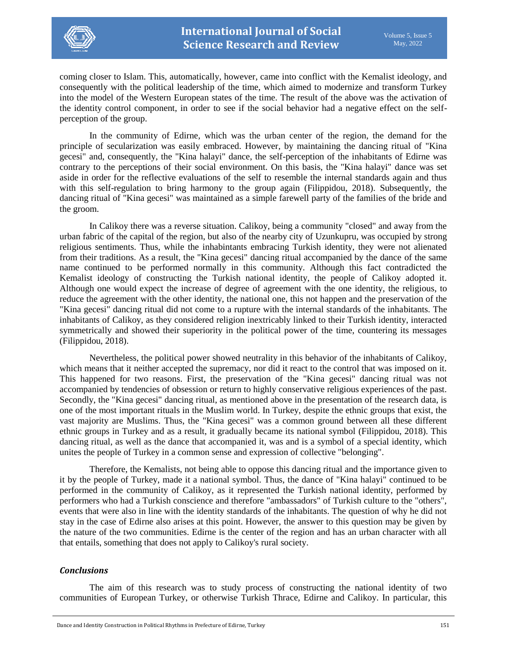

coming closer to Islam. This, automatically, however, came into conflict with the Kemalist ideology, and consequently with the political leadership of the time, which aimed to modernize and transform Turkey into the model of the Western European states of the time. The result of the above was the activation of the identity control component, in order to see if the social behavior had a negative effect on the selfperception of the group.

In the community of Edirne, which was the urban center of the region, the demand for the principle of secularization was easily embraced. However, by maintaining the dancing ritual of "Kina gecesi" and, consequently, the "Kina halayi" dance, the self-perception of the inhabitants of Edirne was contrary to the perceptions of their social environment. On this basis, the "Kina halayi" dance was set aside in order for the reflective evaluations of the self to resemble the internal standards again and thus with this self-regulation to bring harmony to the group again (Filippidou, 2018). Subsequently, the dancing ritual of "Kina gecesi" was maintained as a simple farewell party of the families of the bride and the groom.

In Calikoy there was a reverse situation. Calikoy, being a community "closed" and away from the urban fabric of the capital of the region, but also of the nearby city of Uzunkupru, was occupied by strong religious sentiments. Thus, while the inhabintants embracing Turkish identity, they were not alienated from their traditions. As a result, the "Kina gecesi" dancing ritual accompanied by the dance of the same name continued to be performed normally in this community. Although this fact contradicted the Kemalist ideology of constructing the Turkish national identity, the people of Calikoy adopted it. Although one would expect the increase of degree of agreement with the one identity, the religious, to reduce the agreement with the other identity, the national one, this not happen and the preservation of the "Kina gecesi" dancing ritual did not come to a rupture with the internal standards of the inhabitants. The inhabitants of Calikoy, as they considered religion inextricably linked to their Turkish identity, interacted symmetrically and showed their superiority in the political power of the time, countering its messages (Filippidou, 2018).

Nevertheless, the political power showed neutrality in this behavior of the inhabitants of Calikoy, which means that it neither accepted the supremacy, nor did it react to the control that was imposed on it. This happened for two reasons. First, the preservation of the "Kina gecesi" dancing ritual was not accompanied by tendencies of obsession or return to highly conservative religious experiences of the past. Secondly, the "Kina gecesi" dancing ritual, as mentioned above in the presentation of the research data, is one of the most important rituals in the Muslim world. In Turkey, despite the ethnic groups that exist, the vast majority are Muslims. Thus, the "Kina gecesi" was a common ground between all these different ethnic groups in Turkey and as a result, it gradually became its national symbol (Filippidou, 2018). This dancing ritual, as well as the dance that accompanied it, was and is a symbol of a special identity, which unites the people of Turkey in a common sense and expression of collective "belonging".

Therefore, the Kemalists, not being able to oppose this dancing ritual and the importance given to it by the people of Turkey, made it a national symbol. Thus, the dance of "Kina halayi" continued to be performed in the community of Calikoy, as it represented the Turkish national identity, performed by performers who had a Turkish conscience and therefore "ambassadors" of Turkish culture to the "others", events that were also in line with the identity standards of the inhabitants. The question of why he did not stay in the case of Edirne also arises at this point. However, the answer to this question may be given by the nature of the two communities. Edirne is the center of the region and has an urban character with all that entails, something that does not apply to Calikoy's rural society.

### *Conclusions*

The aim of this research was to study process of constructing the national identity of two communities of European Turkey, or otherwise Turkish Thrace, Edirne and Calikoy. In particular, this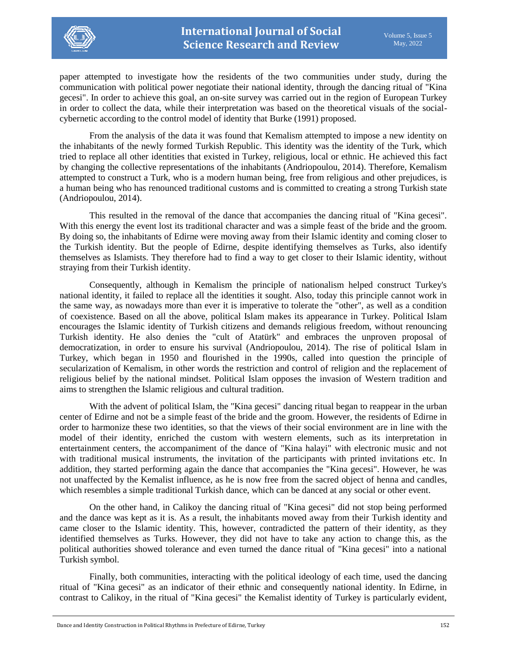

paper attempted to investigate how the residents of the two communities under study, during the communication with political power negotiate their national identity, through the dancing ritual of "Kina gecesi". In order to achieve this goal, an on-site survey was carried out in the region of European Turkey in order to collect the data, while their interpretation was based on the theoretical visuals of the socialcybernetic according to the control model of identity that Burke (1991) proposed.

From the analysis of the data it was found that Kemalism attempted to impose a new identity on the inhabitants of the newly formed Turkish Republic. This identity was the identity of the Turk, which tried to replace all other identities that existed in Turkey, religious, local or ethnic. He achieved this fact by changing the collective representations of the inhabitants (Andriopoulou, 2014). Therefore, Kemalism attempted to construct a Turk, who is a modern human being, free from religious and other prejudices, is a human being who has renounced traditional customs and is committed to creating a strong Turkish state (Andriopoulou, 2014).

This resulted in the removal of the dance that accompanies the dancing ritual of "Kina gecesi". With this energy the event lost its traditional character and was a simple feast of the bride and the groom. By doing so, the inhabitants of Edirne were moving away from their Islamic identity and coming closer to the Turkish identity. But the people of Edirne, despite identifying themselves as Turks, also identify themselves as Islamists. They therefore had to find a way to get closer to their Islamic identity, without straying from their Turkish identity.

Consequently, although in Kemalism the principle of nationalism helped construct Turkey's national identity, it failed to replace all the identities it sought. Also, today this principle cannot work in the same way, as nowadays more than ever it is imperative to tolerate the "other", as well as a condition of coexistence. Based on all the above, political Islam makes its appearance in Turkey. Political Islam encourages the Islamic identity of Turkish citizens and demands religious freedom, without renouncing Turkish identity. He also denies the "cult of Atatürk" and embraces the unproven proposal of democratization, in order to ensure his survival (Andriopoulou, 2014). The rise of political Islam in Turkey, which began in 1950 and flourished in the 1990s, called into question the principle of secularization of Kemalism, in other words the restriction and control of religion and the replacement of religious belief by the national mindset. Political Islam opposes the invasion of Western tradition and aims to strengthen the Islamic religious and cultural tradition.

With the advent of political Islam, the "Kina gecesi" dancing ritual began to reappear in the urban center of Edirne and not be a simple feast of the bride and the groom. However, the residents of Edirne in order to harmonize these two identities, so that the views of their social environment are in line with the model of their identity, enriched the custom with western elements, such as its interpretation in entertainment centers, the accompaniment of the dance of "Kina halayi" with electronic music and not with traditional musical instruments, the invitation of the participants with printed invitations etc. In addition, they started performing again the dance that accompanies the "Kina gecesi". However, he was not unaffected by the Kemalist influence, as he is now free from the sacred object of henna and candles, which resembles a simple traditional Turkish dance, which can be danced at any social or other event.

On the other hand, in Calikoy the dancing ritual of "Kina gecesi" did not stop being performed and the dance was kept as it is. As a result, the inhabitants moved away from their Turkish identity and came closer to the Islamic identity. This, however, contradicted the pattern of their identity, as they identified themselves as Turks. However, they did not have to take any action to change this, as the political authorities showed tolerance and even turned the dance ritual of "Kina gecesi" into a national Turkish symbol.

Finally, both communities, interacting with the political ideology of each time, used the dancing ritual of "Kina gecesi" as an indicator of their ethnic and consequently national identity. In Edirne, in contrast to Calikoy, in the ritual of "Kina gecesi" the Kemalist identity of Turkey is particularly evident,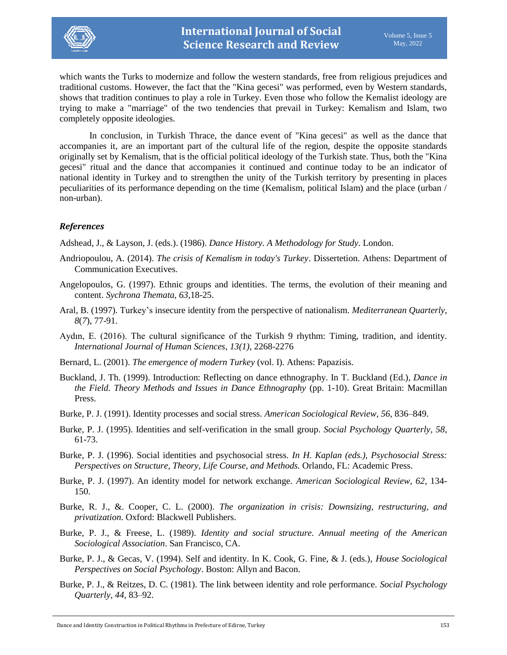

which wants the Turks to modernize and follow the western standards, free from religious prejudices and traditional customs. However, the fact that the "Kina gecesi" was performed, even by Western standards, shows that tradition continues to play a role in Turkey. Even those who follow the Kemalist ideology are trying to make a "marriage" of the two tendencies that prevail in Turkey: Kemalism and Islam, two completely opposite ideologies.

In conclusion, in Turkish Thrace, the dance event of "Kina gecesi" as well as the dance that accompanies it, are an important part of the cultural life of the region, despite the opposite standards originally set by Kemalism, that is the official political ideology of the Turkish state. Thus, both the "Kina gecesi" ritual and the dance that accompanies it continued and continue today to be an indicator of national identity in Turkey and to strengthen the unity of the Turkish territory by presenting in places peculiarities of its performance depending on the time (Kemalism, political Islam) and the place (urban / non-urban).

### *References*

Adshead, J., & Layson, J. (eds.). (1986). *Dance History. A Methodology for Study*. London.

- Andriopoulou, A. (2014). *The crisis of Kemalism in today's Turkey*. Dissertetion. Athens: Department of Communication Executives.
- Angelopoulos, G. (1997). Ethnic groups and identities. The terms, the evolution of their meaning and content. *Sychrona Themata*, *63*,18-25.
- Aral, B. (1997). Turkey's insecure identity from the perspective of nationalism. *Mediterranean Quarterly*, *8*(*7*), 77-91.
- Aydın, E. (2016). The cultural significance of the Turkish 9 rhythm: Timing, tradition, and identity. *International Journal of Human Sciences*, *13(1)*, 2268-2276
- Bernard, L. (2001). *The emergence of modern Turkey* (vol. I). Athens: Papazisis.
- Buckland, J. Th. (1999). Introduction: Reflecting on dance ethnography. In T. Buckland (Εd.), *Dance in the Field. Theory Methods and Issues in Dance Ethnography* (pp. 1-10). Great Britain: Macmillan Press.
- Burke, P. J. (1991). Identity processes and social stress. *American Sociological Review*, *56*, 836–849.
- Burke, P. J. (1995). Identities and self-verification in the small group. *Social Psychology Quarterly, 58*, 61-73.
- Burke, P. J. (1996). Social identities and psychosocial stress*. In H. Kaplan (eds.), Psychosocial Stress: Perspectives on Structure, Theory, Life Course, and Methods.* Orlando, FL: Academic Press.
- Burke, P. J. (1997). An identity model for network exchange. *American Sociological Review, 62*, 134- 150.
- Burke, R. J., &. Cooper, C. L. (2000). *The organization in crisis: Downsizing, restructuring, and privatization*. Oxford: Blackwell Publishers.
- Burke, P. J., & Freese, L. (1989). *Identity and social structure. Annual meeting of the American Sociological Association*. San Francisco, CA.
- Burke, P. J., & Gecas, V. (1994). Self and identity. In K. Cook, G. Fine, & J. (eds.), *House Sociological Perspectives on Social Psychology*. Boston: Allyn and Bacon.
- Burke, P. J., & Reitzes, D. C. (1981). The link between identity and role performance. *Social Psychology Quarterly*, *44*, 83–92.

Dance and Identity Construction in Political Rhythms in Prefecture of Edirne, Turkey 153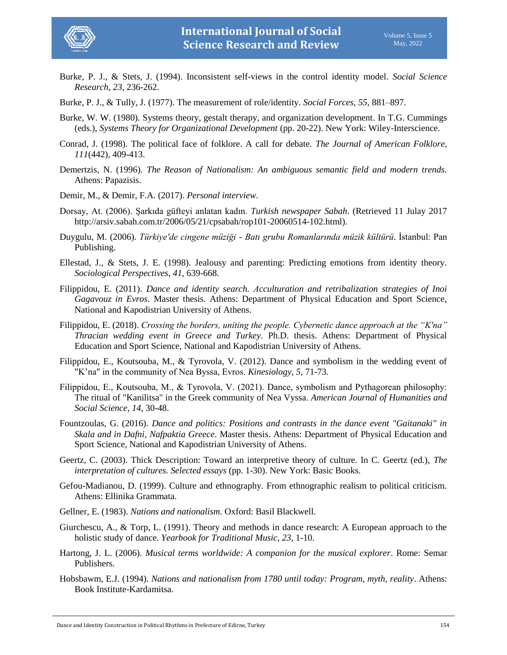

- Burke, P. J., & Stets, J. (1994). Inconsistent self-views in the control identity model. *Social Science Research*, *23*, 236-262.
- Burke, P. J., & Tully, J. (1977). The measurement of role/identity. *Social Forces*, *55*, 881–897.
- Burke, W. W. (1980). Systems theory, gestalt therapy, and organization development. In T.G. Cummings (eds.), *Systems Theory for Organizational Development* (pp. 20-22). New York: Wiley-Interscience.
- Conrad, J. (1998). The political face of folklore. A call for debate. *The Journal of American Folklore*, *111*(442), 409-413.
- Demertzis, N. (1996). *The Reason of Nationalism: An ambiguous semantic field and modern trends.* Athens: Papazisis.
- Demir, M., & Demir, F.A. (2017). *Personal interview*.
- Dorsay, At. (2006). Şarkıda güfteyi anlatan kadın. *Turkish newspaper Sabah*. (Retrieved 11 Julay 2017 [http://arsiv.sabah.com.tr/2006/05/21/cpsabah/rop101-20060514-102.html\)](http://arsiv.sabah.com.tr/2006/05/21/cpsabah/rop101-20060514-102.html).
- Duygulu, M. (2006). *Türkiye'de cingene müziği - Batı grubu Romanlarında müzik kültürü*. İstanbul: Pan Publishing.
- Ellestad, J., & Stets, J. E. (1998). Jealousy and parenting: Predicting emotions from identity theory. *Sociological Perspectives*, *41*, 639-668.
- Filippidou, E. (2011). *Dance and identity search. Αcculturation and retribalization strategies of Inoi Gagavouz in Evros*. Master thesis. Athens: Department of Physical Education and Sport Science, National and Kapodistrian University of Athens.
- Filippidou, E. (2018). *Crossing the borders, uniting the people. Cybernetic dance approach at the "K'na" Thracian wedding event in Greece and Turkey*. Ph.D. thesis. Athens: Department of Physical Education and Sport Science, National and Kapodistrian University of Athens.
- Filippidou, E., Koutsouba, M., & Tyrovola, V. (2012). Dance and symbolism in the wedding event of "K'na" in the community of Nea Byssa, Evros. *Kinesiology*, *5,* 71-73.
- Filippidou, Ε., Koutsouba, M., & Tyrovola, V. (2021). Dance, symbolism and Pythagorean philosophy: The ritual of "Kanilitsa" in the Greek community of Nea Vyssa. *American Journal of Humanities and Social Science*, *14*, 30-48.
- Fountzoulas, G. (2016). *Dance and politics: Positions and contrasts in the dance event "Gaitanaki" in Skala and in Dafni, Nafpaktia Greece*. Master thesis. Athens: Department of Physical Education and Sport Science, National and Kapodistrian University of Athens.
- Geertz, C. (2003). Thick Description: Toward an interpretive theory of culture. In C. Geertz (ed.), *The interpretation of cultures. Selected essays* (pp. 1-30). New York: Basic Books.
- Gefou-Madianou, D. (1999). Culture and ethnography. From ethnographic realism to political criticism. Athens: Ellinika Grammata.
- Gellner, E. (1983). *Nations and nationalism.* Oxford: Basil Blackwell.
- Giurchescu, A., & Torp, L. (1991). Theory and methods in dance research: A European approach to the holistic study of dance. *Yearbook for Traditional Music*, *23*, 1-10.
- Hartong, J. L. (2006). *Musical terms worldwide: A companion for the musical explorer*. Rome: Semar Publishers.
- Hobsbawm, E.J. (1994). *Nations and nationalism from 1780 until today: Program, myth, reality*. Athens: Book Institute-Kardamitsa.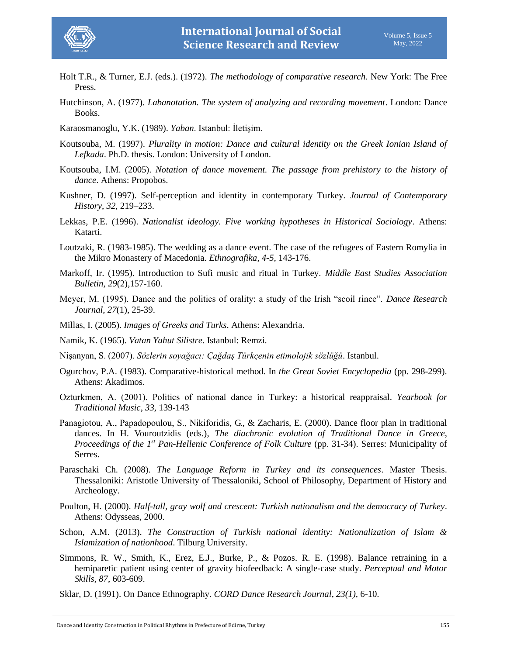

- Holt T.R., & Turner, E.J. (eds.). (1972). *The methodology of comparative research*. New York: The Free Press.
- Hutchinson, A. (1977). *Labanotation. The system of analyzing and recording movement*. London: Dance Books.
- Karaosmanoglu, Y.K. (1989). *Yaban*. Istanbul: İletişim.
- Koutsouba, M. (1997). *Plurality in motion: Dance and cultural identity on the Greek Ionian Island of Lefkada*. Ph.D. thesis. London: University of London.
- Koutsouba, I.M. (2005). *Notation of dance movement. The passage from prehistory to the history of dance*. Athens: Propobos.
- Kushner, D. (1997). Self-perception and identity in contemporary Turkey. *Journal of Contemporary History*, *32*, 219–233.
- Lekkas, P.E. (1996). *Nationalist ideology. Five working hypotheses in Historical Sociology*. Athens: Katarti.
- Loutzaki, R. (1983-1985). The wedding as a dance event. The case of the refugees of Eastern Romylia in the Mikro Monastery of Macedonia. *Ethnografika*, *4-5*, 143-176.
- Markoff, Ir. (1995). Introduction to Sufi music and ritual in Turkey. *Middle East Studies Association Bulletin, 29*(2),157-160.
- Meyer, M. (1995). Dance and the politics of orality: a study of the Irish "scoil rince". *Dance Research Journal*, *27*(1), 25-39.
- Millas, I. (2005). *Images of Greeks and Turks*. Athens: Alexandria.
- Namik, K. (1965). *Vatan Yahut Silistre*. Istanbul: Remzi.
- Nişanyan, S. (2007). *Sözlerin soyağacı: Çağdaş Türkçenin etimolojik sözlüğü*. Istanbul.
- Ogurchov, P.A. (1983). Comparative-historical method*.* In *the Great Soviet Encyclopedia* (pp. 298-299). Athens: Akadimos.
- Ozturkmen, Α. (2001). Politics of national dance in Turkey: a historical reappraisal. *Yearbook for Traditional Music*, *33*, 139-143
- Panagiotou, A., Papadopoulou, S., Νikiforidis, G., & Ζacharis, E. (2000). Dance floor plan in traditional dances. In H. Vouroutzidis (eds.), *The diachronic evolution of Traditional Dance in Greece*, *Proceedings of the 1st Pan-Hellenic Conference of Folk Culture* (pp. 31-34). Serres: Municipality of Serres.
- Paraschaki Ch. (2008). *The Language Reform in Turkey and its consequences*. Master Thesis. Thessaloniki: Aristotle University of Thessaloniki, School of Philosophy, Department of History and Archeology.
- Poulton, H. (2000). *Half-tall, gray wolf and crescent: Turkish nationalism and the democracy of Turkey*. Athens: Odysseas, 2000.
- Schon, Α.Μ. (2013). *The Construction of Turkish national identity: Nationalization of Islam & Islamization of nationhood*. Tilburg University.
- Simmons, R. W., Smith, K., Erez, E.J., Burke, P., & Pozos. R. E. (1998). Balance retraining in a hemiparetic patient using center of gravity biofeedback: A single-case study. *Perceptual and Motor Skills*, *87*, 603-609.
- Sklar, D. (1991). On Dance Ethnography. *CORD Dance Research Journal*, *23(1),* 6-10.

Dance and Identity Construction in Political Rhythms in Prefecture of Edirne, Turkey 155